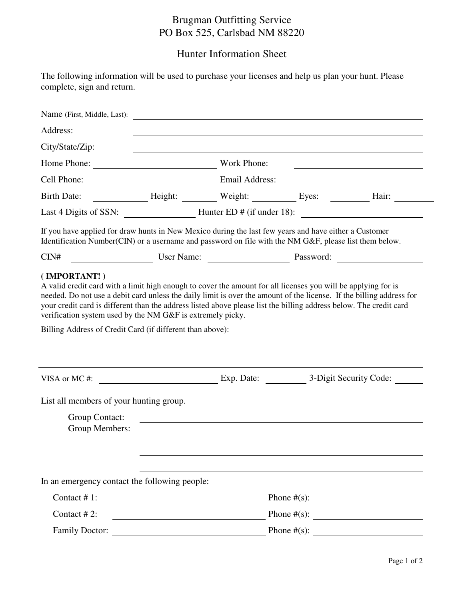## Brugman Outfitting Service PO Box 525, Carlsbad NM 88220

## Hunter Information Sheet

|                            | The following information will be used to purchase your licenses and help us plan your hunt. Please |  |
|----------------------------|-----------------------------------------------------------------------------------------------------|--|
| complete, sign and return. |                                                                                                     |  |

| Name (First, Middle, Last):                                                                                                                                                                                     |                |                                   |                                                                                                                |
|-----------------------------------------------------------------------------------------------------------------------------------------------------------------------------------------------------------------|----------------|-----------------------------------|----------------------------------------------------------------------------------------------------------------|
| Address:                                                                                                                                                                                                        |                |                                   |                                                                                                                |
| City/State/Zip:                                                                                                                                                                                                 |                |                                   |                                                                                                                |
| Home Phone:                                                                                                                                                                                                     | Work Phone:    |                                   |                                                                                                                |
| Cell Phone:                                                                                                                                                                                                     | Email Address: |                                   |                                                                                                                |
| <b>Birth Date:</b>                                                                                                                                                                                              |                | Height: Weight: Eyes: Eyes: Hair: |                                                                                                                |
| Last 4 Digits of SSN: _________________________Hunter ED # (if under 18): ___________________________________                                                                                                   |                |                                   |                                                                                                                |
| If you have applied for draw hunts in New Mexico during the last few years and have either a Customer<br>Identification Number(CIN) or a username and password on file with the NM G&F, please list them below. |                |                                   |                                                                                                                |
| CIN#                                                                                                                                                                                                            |                |                                   | User Name: Description of Password: Description of Password: Description of Password: Description of Password: |
| Billing Address of Credit Card (if different than above):                                                                                                                                                       |                |                                   |                                                                                                                |
|                                                                                                                                                                                                                 |                |                                   |                                                                                                                |
| List all members of your hunting group.<br>Group Contact:<br>Group Members:                                                                                                                                     |                |                                   |                                                                                                                |
| In an emergency contact the following people:                                                                                                                                                                   |                |                                   |                                                                                                                |
| Contact #1:                                                                                                                                                                                                     |                |                                   |                                                                                                                |
| Contact #2:                                                                                                                                                                                                     |                |                                   |                                                                                                                |
| <b>Family Doctor:</b>                                                                                                                                                                                           |                | Phone $#(s)$ :                    |                                                                                                                |